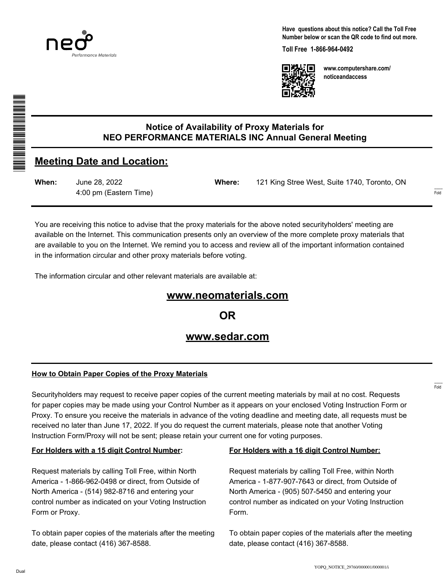

**Have questions about this notice? Call the Toll Free Number below or scan the QR code to find out more.**

**Toll Free 1-866-964-0492**



**www.computershare.com/ noticeandaccess**

**When:** June 28, 2022 4:00 pm (Eastern Time)

**Meeting Date and Location:**

**Where:** 121 King Stree West, Suite 1740, Toronto, ON

You are receiving this notice to advise that the proxy materials for the above noted securityholders' meeting are available on the Internet. This communication presents only an overview of the more complete proxy materials that are available to you on the Internet. We remind you to access and review all of the important information contained in the information circular and other proxy materials before voting.

The information circular and other relevant materials are available at:

# **www.neomaterials.com**

**Notice of Availability of Proxy Materials for NEO PERFORMANCE MATERIALS INC Annual General Meeting**

**OR**

# **www.sedar.com**

# **How to Obtain Paper Copies of the Proxy Materials**

Securityholders may request to receive paper copies of the current meeting materials by mail at no cost. Requests for paper copies may be made using your Control Number as it appears on your enclosed Voting Instruction Form or Proxy. To ensure you receive the materials in advance of the voting deadline and meeting date, all requests must be received no later than June 17, 2022. If you do request the current materials, please note that another Voting Instruction Form/Proxy will not be sent; please retain your current one for voting purposes.

# **For Holders with a 15 digit Control Number:**

Request materials by calling Toll Free, within North America - 1-866-962-0498 or direct, from Outside of North America - (514) 982-8716 and entering your control number as indicated on your Voting Instruction Form or Proxy.

To obtain paper copies of the materials after the meeting date, please contact (416) 367-8588.

#### **For Holders with a 16 digit Control Number:**

Request materials by calling Toll Free, within North America - 1-877-907-7643 or direct, from Outside of North America - (905) 507-5450 and entering your control number as indicated on your Voting Instruction Form.

To obtain paper copies of the materials after the meeting date, please contact (416) 367-8588.

------- Fold

------- Fold